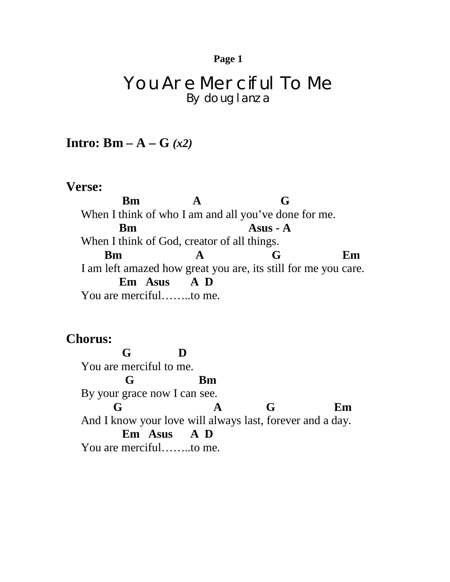#### **Page 1**

# You Are Merciful To Me By doug lanza

## **Intro: Bm – A – G** *(x2)*

#### **Verse:**

**Bm A** G When I think of who I am and all you've done for me. **Bm Asus - A** When I think of God, creator of all things. **Bm** A G Em I am left amazed how great you are, its still for me you care.  **Em Asus A D** You are merciful……..to me.

### **Chorus:**

 **G D** You are merciful to me. **G Bm** By your grace now I can see. **G A G Em** And I know your love will always last, forever and a day. **Em Asus A D** You are merciful……..to me.